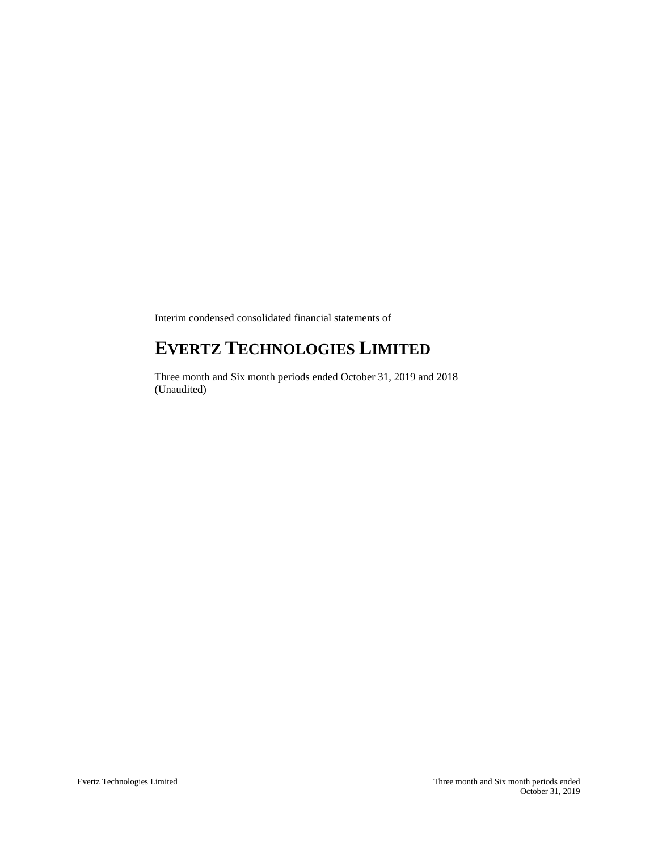Interim condensed consolidated financial statements of

# **EVERTZ TECHNOLOGIES LIMITED**

Three month and Six month periods ended October 31, 2019 and 2018 (Unaudited)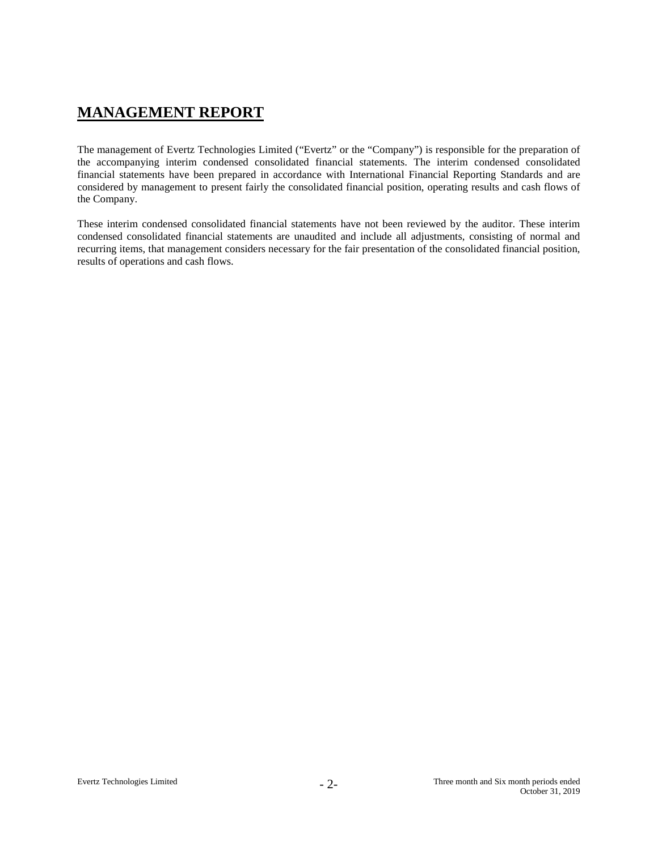# **MANAGEMENT REPORT**

The management of Evertz Technologies Limited ("Evertz" or the "Company") is responsible for the preparation of the accompanying interim condensed consolidated financial statements. The interim condensed consolidated financial statements have been prepared in accordance with International Financial Reporting Standards and are considered by management to present fairly the consolidated financial position, operating results and cash flows of the Company.

These interim condensed consolidated financial statements have not been reviewed by the auditor. These interim condensed consolidated financial statements are unaudited and include all adjustments, consisting of normal and recurring items, that management considers necessary for the fair presentation of the consolidated financial position, results of operations and cash flows.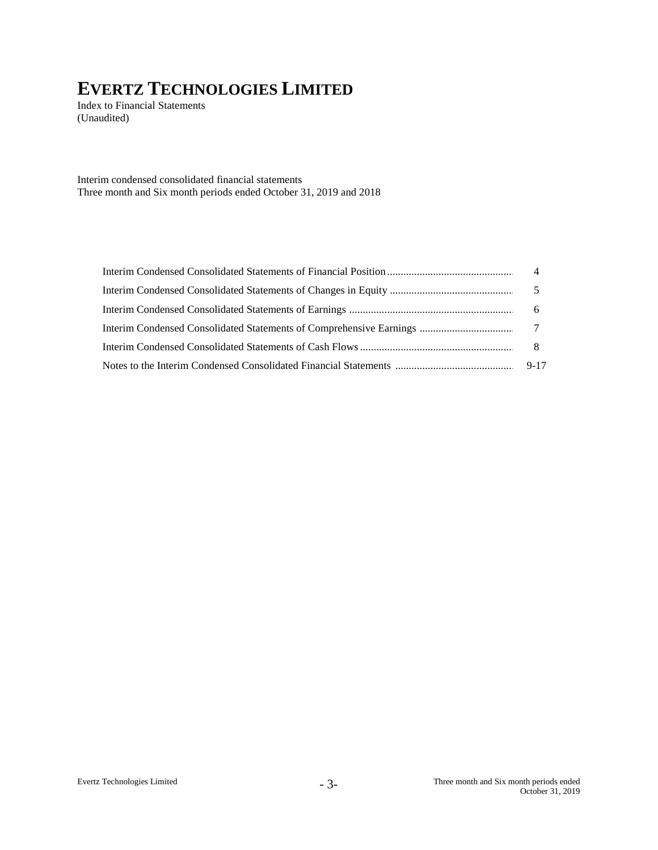Index to Financial Statements (Unaudited)

Interim condensed consolidated financial statements Three month and Six month periods ended October 31, 2019 and 2018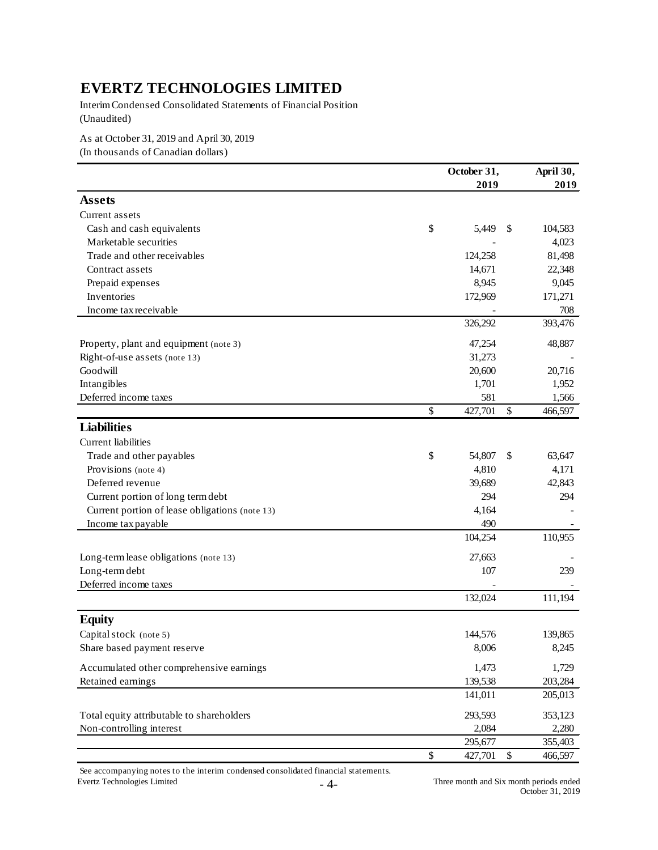Interim Condensed Consolidated Statements of Financial Position (Unaudited)

As at October 31, 2019 and April 30, 2019

(In thousands of Canadian dollars)

|                                                | October 31,   | April 30,    |         |
|------------------------------------------------|---------------|--------------|---------|
|                                                | 2019          | 2019         |         |
| <b>Assets</b>                                  |               |              |         |
| Current assets                                 |               |              |         |
| Cash and cash equivalents                      | \$<br>5,449   | \$           | 104,583 |
| Marketable securities                          |               |              | 4,023   |
| Trade and other receivables                    | 124,258       |              | 81,498  |
| Contract assets                                | 14,671        |              | 22,348  |
| Prepaid expenses                               | 8,945         |              | 9,045   |
| Inventories                                    | 172,969       |              | 171,271 |
| Income tax receivable                          |               |              | 708     |
|                                                | 326,292       |              | 393,476 |
| Property, plant and equipment (note 3)         | 47,254        |              | 48,887  |
| Right-of-use assets (note 13)                  | 31,273        |              |         |
| Goodwill                                       | 20,600        |              | 20,716  |
| Intangibles                                    | 1,701         |              | 1,952   |
| Deferred income taxes                          | 581           |              | 1,566   |
|                                                | \$<br>427,701 | \$           | 466,597 |
| <b>Liabilities</b>                             |               |              |         |
| <b>Current</b> liabilities                     |               |              |         |
| Trade and other payables                       | \$<br>54,807  | \$           | 63,647  |
| Provisions (note 4)                            | 4,810         |              | 4,171   |
| Deferred revenue                               | 39,689        |              | 42,843  |
| Current portion of long term debt              | 294           |              | 294     |
| Current portion of lease obligations (note 13) | 4,164         |              |         |
| Income tax payable                             | 490           |              |         |
|                                                | 104,254       |              | 110,955 |
|                                                |               |              |         |
| Long-term lease obligations (note 13)          | 27,663        |              |         |
| Long-term debt<br>Deferred income taxes        | 107           |              | 239     |
|                                                | 132,024       |              | 111,194 |
|                                                |               |              |         |
| <b>Equity</b>                                  |               |              |         |
| Capital stock (note 5)                         | 144,576       |              | 139,865 |
| Share based payment reserve                    | 8,006         |              | 8,245   |
| Accumulated other comprehensive earnings       | 1,473         |              | 1,729   |
| Retained earnings                              | 139,538       |              | 203,284 |
|                                                | 141,011       |              | 205,013 |
| Total equity attributable to shareholders      | 293,593       |              | 353,123 |
| Non-controlling interest                       | 2,084         |              | 2,280   |
|                                                | 295,677       |              | 355,403 |
|                                                | \$<br>427,701 | $\mathbb{S}$ | 466,597 |

See accompanying notes to the interim condensed consolidated financial statements.

Evertz Technologies Limited - 4- Three month and Six month periods ended October 31, 2019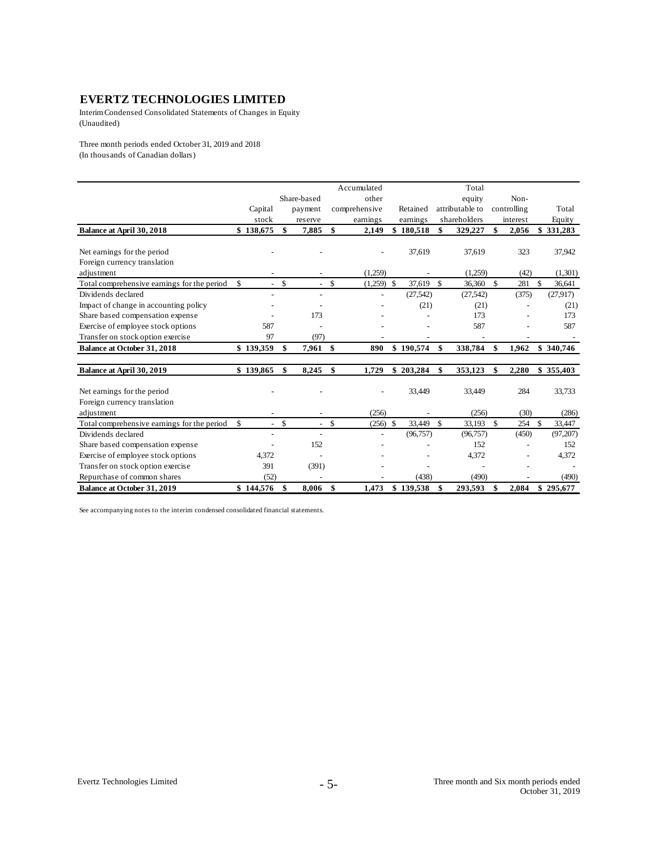Interim Condensed Consolidated Statements of Changes in Equity (Unaudited)

Three month periods ended October 31, 2019 and 2018 (In thousands of Canadian dollars)

|                                             |           |                                |                          |               | Accumulated   |    |           |               | Total           |              |             |               |           |
|---------------------------------------------|-----------|--------------------------------|--------------------------|---------------|---------------|----|-----------|---------------|-----------------|--------------|-------------|---------------|-----------|
|                                             |           |                                | Share-based              |               | other         |    |           |               | equity          |              | Non-        |               |           |
|                                             | Capital   |                                | payment                  |               | comprehensive |    | Retained  |               | attributable to |              | controlling |               | Total     |
|                                             | stock     |                                | reserve                  |               | earnings      |    | earnings  |               | shareholders    |              | interest    | Equity        |           |
| Balance at April 30, 2018                   | \$138,675 | \$                             | 7,885                    | \$            | 2,149         | \$ | 180,518   | \$            | 329,227         | \$           | 2,056       |               | \$331,283 |
|                                             |           |                                |                          |               |               |    |           |               |                 |              |             |               |           |
| Net earnings for the period                 |           |                                |                          |               |               |    | 37,619    |               | 37,619          |              | 323         |               | 37,942    |
| Foreign currency translation                |           |                                |                          |               |               |    |           |               |                 |              |             |               |           |
| adjustment                                  |           |                                |                          |               | (1,259)       |    |           |               | (1,259)         |              | (42)        |               | (1,301)   |
| Total comprehensive earnings for the period | \$        | $\mathbf{s}$<br>$\overline{a}$ | $\overline{\phantom{0}}$ | $\mathcal{S}$ | $(1,259)$ \$  |    | 37,619    | $\mathbf{s}$  | 36,360          | $\mathbb{S}$ | 281         | \$            | 36,641    |
| Dividends declared                          |           |                                |                          |               |               |    | (27, 542) |               | (27, 542)       |              | (375)       |               | (27,917)  |
| Impact of change in accounting policy       |           |                                |                          |               |               |    | (21)      |               | (21)            |              |             |               | (21)      |
| Share based compensation expense            |           |                                | 173                      |               |               |    |           |               | 173             |              |             |               | 173       |
| Exercise of employee stock options          | 587       |                                |                          |               |               |    |           |               | 587             |              |             |               | 587       |
| Transfer on stock option exercise           | 97        |                                | (97)                     |               |               |    |           |               |                 |              |             |               |           |
| <b>Balance at October 31, 2018</b>          | \$139,359 | \$                             | 7,961                    | \$            | 890           |    | \$190,574 | \$            | 338,784         | \$           | 1.962       |               | \$340,746 |
|                                             |           | \$                             |                          |               |               |    |           | \$            |                 |              |             |               |           |
| Balance at April 30, 2019                   | \$139,865 |                                | 8,245                    | \$            | 1,729         |    | \$203,284 |               | 353,123         | \$           | 2,280       |               | \$355,403 |
| Net earnings for the period                 |           |                                |                          |               |               |    | 33,449    |               | 33,449          |              | 284         |               | 33,733    |
| Foreign currency translation                |           |                                |                          |               |               |    |           |               |                 |              |             |               |           |
| adjustment                                  |           |                                |                          |               | (256)         |    |           |               | (256)           |              | (30)        |               | (286)     |
| Total comprehensive earnings for the period | \$        | \$<br>$\overline{a}$           | $\sim$                   | \$            | (256)         | -S | 33,449    | <sup>\$</sup> | 33,193          | \$           | 254         | <sup>\$</sup> | 33,447    |
| Dividends declared                          |           |                                |                          |               |               |    | (96, 757) |               | (96, 757)       |              | (450)       |               | (97, 207) |
| Share based compensation expense            |           |                                | 152                      |               |               |    |           |               | 152             |              |             |               | 152       |
| Exercise of employee stock options          | 4,372     |                                |                          |               |               |    |           |               | 4,372           |              |             |               | 4,372     |
| Transfer on stock option exercise           | 391       |                                | (391)                    |               |               |    |           |               |                 |              |             |               |           |
| Repurchase of common shares                 | (52)      |                                |                          |               |               |    | (438)     |               | (490)           |              |             |               | (490)     |
| <b>Balance at October 31, 2019</b>          | \$144.576 | \$                             | 8,006                    | -\$           | 1,473         |    | \$139,538 | \$            | 293,593         | \$           | 2,084       |               | \$295,677 |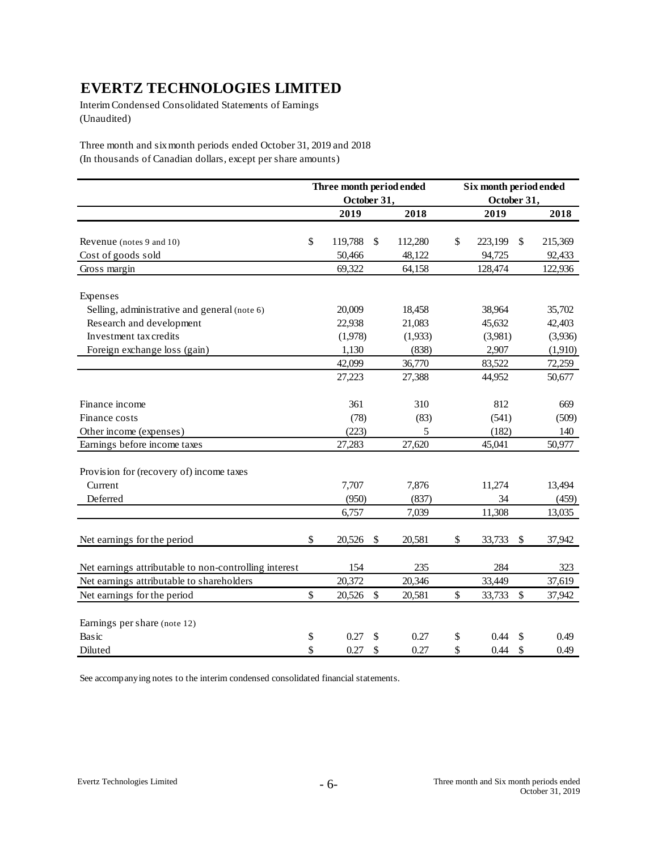Interim Condensed Consolidated Statements of Earnings (Unaudited)

Three month and six month periods ended October 31, 2019 and 2018 (In thousands of Canadian dollars, except per share amounts)

|                                                       | Three month period ended |               | Six month period ended |             |              |         |  |
|-------------------------------------------------------|--------------------------|---------------|------------------------|-------------|--------------|---------|--|
|                                                       | October 31,              |               |                        | October 31, |              |         |  |
|                                                       | 2019                     | 2018          |                        | 2019        |              | 2018    |  |
|                                                       |                          |               |                        |             |              |         |  |
| Revenue (notes 9 and 10)                              | \$<br>119,788            | \$<br>112,280 | \$                     | 223,199     | \$           | 215,369 |  |
| Cost of goods sold                                    | 50,466                   | 48,122        |                        | 94,725      |              | 92,433  |  |
| Gross margin                                          | 69,322                   | 64,158        |                        | 128,474     |              | 122,936 |  |
| Expenses                                              |                          |               |                        |             |              |         |  |
| Selling, administrative and general (note 6)          | 20,009                   | 18,458        |                        | 38,964      |              | 35,702  |  |
| Research and development                              | 22,938                   | 21,083        |                        | 45,632      |              | 42,403  |  |
| Investment tax credits                                | (1,978)                  | (1,933)       |                        | (3,981)     |              | (3,936) |  |
| Foreign exchange loss (gain)                          | 1,130                    | (838)         |                        | 2,907       |              | (1,910) |  |
|                                                       | 42,099                   | 36,770        |                        | 83,522      |              | 72,259  |  |
|                                                       | 27,223                   | 27,388        |                        | 44,952      |              | 50,677  |  |
| Finance income                                        | 361                      | 310           |                        | 812         |              | 669     |  |
| Finance costs                                         | (78)                     | (83)          |                        | (541)       |              | (509)   |  |
| Other income (expenses)                               | (223)                    | 5             |                        | (182)       |              | 140     |  |
| Earnings before income taxes                          | 27,283                   | 27,620        |                        | 45,041      |              | 50,977  |  |
| Provision for (recovery of) income taxes              |                          |               |                        |             |              |         |  |
| Current                                               | 7,707                    | 7,876         |                        | 11,274      |              | 13,494  |  |
| Deferred                                              | (950)                    | (837)         |                        | 34          |              | (459)   |  |
|                                                       | 6,757                    | 7,039         |                        | 11,308      |              | 13,035  |  |
| Net earnings for the period                           | \$<br>20,526             | \$<br>20,581  | \$                     | 33,733      | \$           | 37,942  |  |
| Net earnings attributable to non-controlling interest | 154                      | 235           |                        | 284         |              | 323     |  |
| Net earnings attributable to shareholders             | 20,372                   | 20,346        |                        | 33,449      |              | 37,619  |  |
| Net earnings for the period                           | \$<br>20,526             | \$<br>20,581  | \$                     | 33,733      | \$           | 37,942  |  |
| Earnings per share (note 12)                          |                          |               |                        |             |              |         |  |
| Basic                                                 | \$<br>0.27               | \$<br>0.27    | \$                     | 0.44        | $\mathbb{S}$ | 0.49    |  |
| Diluted                                               | \$<br>0.27               | \$<br>0.27    | \$                     | 0.44        | \$           | 0.49    |  |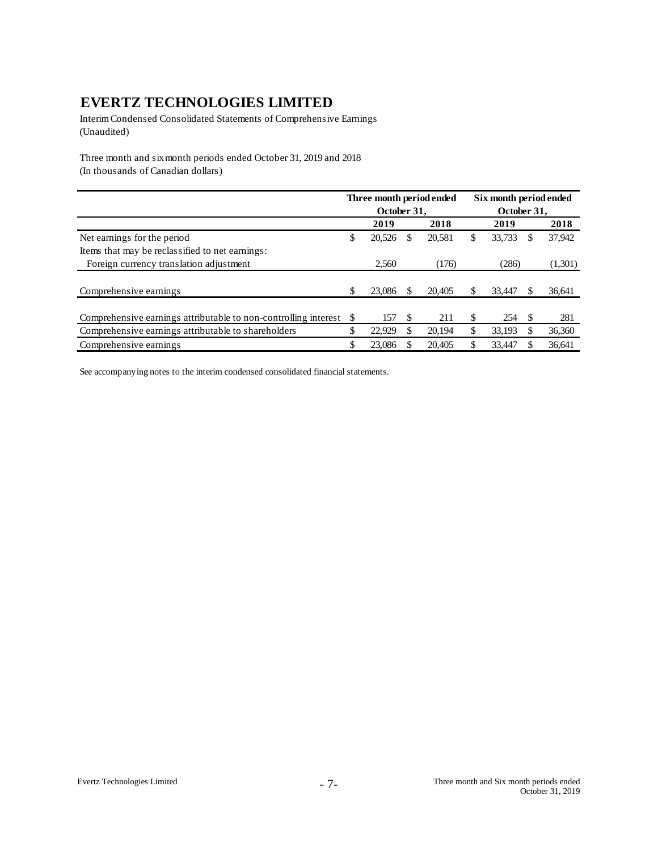Interim Condensed Consolidated Statements of Comprehensive Earnings (Unaudited)

Three month and six month periods ended October 31, 2019 and 2018 (In thousands of Canadian dollars)

|                                                                 | Three month period ended |             |   |        |    | Six month period ended |    |         |  |  |  |
|-----------------------------------------------------------------|--------------------------|-------------|---|--------|----|------------------------|----|---------|--|--|--|
|                                                                 |                          | October 31. |   |        |    | October 31.            |    |         |  |  |  |
|                                                                 |                          | 2019        |   | 2018   |    | 2019                   |    | 2018    |  |  |  |
| Net earnings for the period                                     | \$                       | 20.526      | S | 20,581 | \$ | 33,733                 | \$ | 37,942  |  |  |  |
| Items that may be reclassified to net earnings:                 |                          |             |   |        |    |                        |    |         |  |  |  |
| Foreign currency translation adjustment                         |                          | 2.560       |   | (176)  |    | (286)                  |    | (1,301) |  |  |  |
|                                                                 |                          |             |   |        |    |                        |    |         |  |  |  |
| Comprehensive earnings                                          | \$                       | 23,086      |   | 20.405 | S  | 33,447                 |    | 36,641  |  |  |  |
|                                                                 |                          |             |   |        |    |                        |    |         |  |  |  |
| Comprehensive earnings attributable to non-controlling interest | \$.                      | 157         | S | 211    | S  | 254                    | -S | 281     |  |  |  |
| Comprehensive earnings attributable to shareholders             | \$                       | 22,929      | S | 20.194 | \$ | 33,193                 | S  | 36,360  |  |  |  |
| Comprehensive earnings                                          |                          | 23,086      |   | 20.405 |    | 33,447                 |    | 36,641  |  |  |  |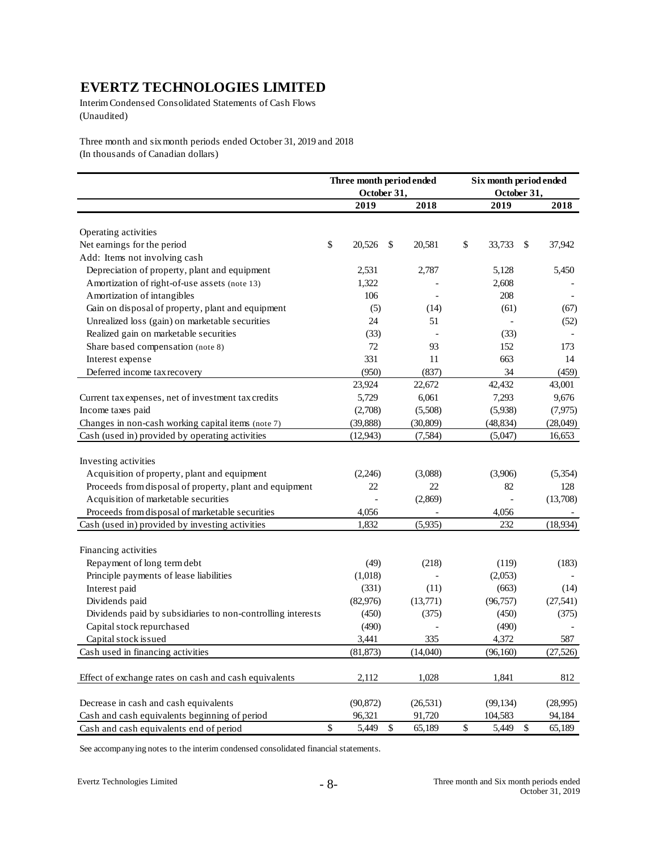Interim Condensed Consolidated Statements of Cash Flows (Unaudited)

Three month and six month periods ended October 31, 2019 and 2018 (In thousands of Canadian dollars)

|                                                             | Three month period ended |    |           | Six month period ended |             |    |           |  |  |
|-------------------------------------------------------------|--------------------------|----|-----------|------------------------|-------------|----|-----------|--|--|
|                                                             | October 31,              |    |           |                        | October 31, |    |           |  |  |
|                                                             | 2019                     |    | 2018      |                        | 2019        |    | 2018      |  |  |
| Operating activities                                        |                          |    |           |                        |             |    |           |  |  |
| Net earnings for the period                                 | \$<br>20,526             | \$ | 20,581    | \$                     | 33,733      | \$ | 37,942    |  |  |
| Add: Items not involving cash                               |                          |    |           |                        |             |    |           |  |  |
| Depreciation of property, plant and equipment               | 2,531                    |    | 2,787     |                        | 5,128       |    | 5,450     |  |  |
| Amortization of right-of-use assets (note 13)               | 1,322                    |    |           |                        | 2,608       |    |           |  |  |
| Amortization of intangibles                                 | 106                      |    |           |                        | 208         |    |           |  |  |
| Gain on disposal of property, plant and equipment           | (5)                      |    | (14)      |                        | (61)        |    | (67)      |  |  |
| Unrealized loss (gain) on marketable securities             | 24                       |    | 51        |                        |             |    | (52)      |  |  |
| Realized gain on marketable securities                      | (33)                     |    |           |                        | (33)        |    |           |  |  |
| Share based compensation (note 8)                           | 72                       |    | 93        |                        | 152         |    | 173       |  |  |
| Interest expense                                            | 331                      |    | 11        |                        | 663         |    | 14        |  |  |
| Deferred income tax recovery                                | (950)                    |    | (837)     |                        | 34          |    | (459)     |  |  |
|                                                             | 23,924                   |    | 22,672    |                        | 42,432      |    | 43,001    |  |  |
| Current tax expenses, net of investment tax credits         | 5,729                    |    | 6,061     |                        | 7,293       |    | 9,676     |  |  |
| Income taxes paid                                           | (2,708)                  |    | (5,508)   |                        | (5,938)     |    | (7,975)   |  |  |
| Changes in non-cash working capital items (note 7)          | (39, 888)                |    | (30, 809) |                        | (48, 834)   |    | (28,049)  |  |  |
| Cash (used in) provided by operating activities             | (12, 943)                |    | (7,584)   |                        | (5,047)     |    | 16,653    |  |  |
|                                                             |                          |    |           |                        |             |    |           |  |  |
| Investing activities                                        |                          |    |           |                        |             |    |           |  |  |
| Acquisition of property, plant and equipment                | (2,246)                  |    | (3,088)   |                        | (3,906)     |    | (5,354)   |  |  |
| Proceeds from disposal of property, plant and equipment     | 22                       |    | 22        |                        | 82          |    | 128       |  |  |
| Acquisition of marketable securities                        |                          |    | (2,869)   |                        |             |    | (13,708)  |  |  |
| Proceeds from disposal of marketable securities             | 4,056                    |    |           |                        | 4,056       |    |           |  |  |
| Cash (used in) provided by investing activities             | 1.832                    |    | (5,935)   |                        | 232         |    | (18,934)  |  |  |
|                                                             |                          |    |           |                        |             |    |           |  |  |
| Financing activities                                        |                          |    |           |                        |             |    |           |  |  |
| Repayment of long term debt                                 | (49)                     |    | (218)     |                        | (119)       |    | (183)     |  |  |
| Principle payments of lease liabilities                     | (1,018)                  |    |           |                        | (2,053)     |    |           |  |  |
| Interest paid                                               | (331)                    |    | (11)      |                        | (663)       |    | (14)      |  |  |
| Dividends paid                                              | (82, 976)                |    | (13,771)  |                        | (96,757)    |    | (27, 541) |  |  |
| Dividends paid by subsidiaries to non-controlling interests | (450)                    |    | (375)     |                        | (450)       |    | (375)     |  |  |
| Capital stock repurchased                                   | (490)                    |    |           |                        | (490)       |    |           |  |  |
| Capital stock issued                                        | 3,441                    |    | 335       |                        | 4,372       |    | 587       |  |  |
| Cash used in financing activities                           | (81, 873)                |    | (14,040)  |                        | (96, 160)   |    | (27, 526) |  |  |
|                                                             |                          |    |           |                        |             |    |           |  |  |
| Effect of exchange rates on cash and cash equivalents       | 2,112                    |    | 1,028     |                        | 1,841       |    | 812       |  |  |
|                                                             |                          |    |           |                        |             |    |           |  |  |
| Decrease in cash and cash equivalents                       | (90, 872)                |    | (26, 531) |                        | (99, 134)   |    | (28,995)  |  |  |
| Cash and cash equivalents beginning of period               | 96,321                   |    | 91,720    |                        | 104,583     |    | 94,184    |  |  |
| Cash and cash equivalents end of period                     | \$<br>5,449              | \$ | 65,189    | \$                     | 5,449       | \$ | 65,189    |  |  |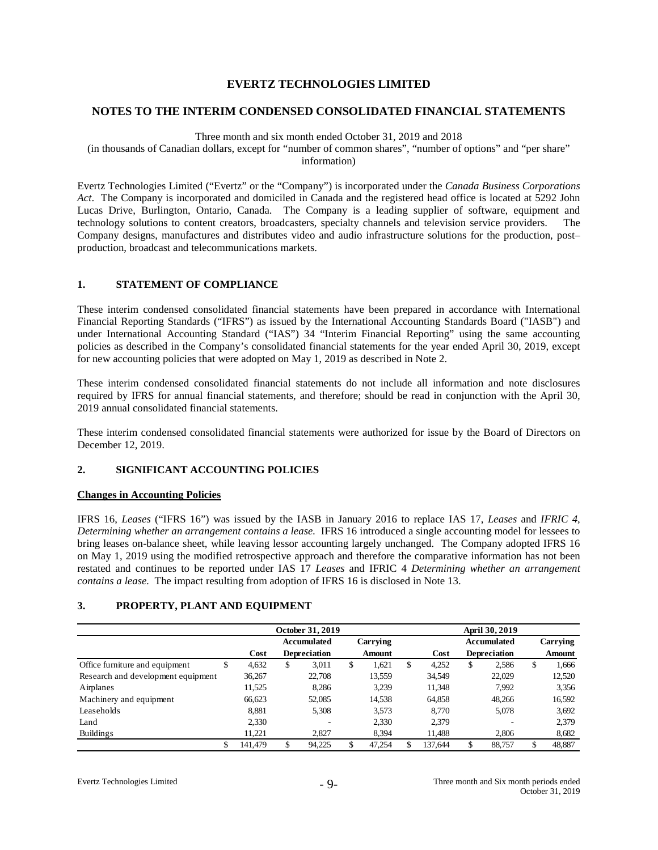#### **NOTES TO THE INTERIM CONDENSED CONSOLIDATED FINANCIAL STATEMENTS**

Three month and six month ended October 31, 2019 and 2018

(in thousands of Canadian dollars, except for "number of common shares", "number of options" and "per share" information)

Evertz Technologies Limited ("Evertz" or the "Company") is incorporated under the *Canada Business Corporations Act*. The Company is incorporated and domiciled in Canada and the registered head office is located at 5292 John Lucas Drive, Burlington, Ontario, Canada. The Company is a leading supplier of software, equipment and technology solutions to content creators, broadcasters, specialty channels and television service providers. The Company designs, manufactures and distributes video and audio infrastructure solutions for the production, post– production, broadcast and telecommunications markets.

#### **1. STATEMENT OF COMPLIANCE**

These interim condensed consolidated financial statements have been prepared in accordance with International Financial Reporting Standards ("IFRS") as issued by the International Accounting Standards Board ("IASB") and under International Accounting Standard ("IAS") 34 "Interim Financial Reporting" using the same accounting policies as described in the Company's consolidated financial statements for the year ended April 30, 2019, except for new accounting policies that were adopted on May 1, 2019 as described in Note 2.

These interim condensed consolidated financial statements do not include all information and note disclosures required by IFRS for annual financial statements, and therefore; should be read in conjunction with the April 30, 2019 annual consolidated financial statements.

These interim condensed consolidated financial statements were authorized for issue by the Board of Directors on December 12, 2019.

### **2. SIGNIFICANT ACCOUNTING POLICIES**

#### **Changes in Accounting Policies**

IFRS 16, *Leases* ("IFRS 16") was issued by the IASB in January 2016 to replace IAS 17, *Leases* and *IFRIC 4, Determining whether an arrangement contains a lease.* IFRS 16 introduced a single accounting model for lessees to bring leases on-balance sheet, while leaving lessor accounting largely unchanged. The Company adopted IFRS 16 on May 1, 2019 using the modified retrospective approach and therefore the comparative information has not been restated and continues to be reported under IAS 17 *Leases* and IFRIC 4 *Determining whether an arrangement contains a lease.* The impact resulting from adoption of IFRS 16 is disclosed in Note 13.

#### **3. PROPERTY, PLANT AND EQUIPMENT**

|                                    |   | October 31, 2019 |    |                     |    |          |   | April 30, 2019 |    |                     |    |          |
|------------------------------------|---|------------------|----|---------------------|----|----------|---|----------------|----|---------------------|----|----------|
|                                    |   |                  |    | Accumulated         |    | Carrying |   |                |    | Accumulated         |    | Carrying |
|                                    |   | Cost             |    | <b>Depreciation</b> |    | Amount   |   | Cost           |    | <b>Depreciation</b> |    | Amount   |
| Office furniture and equipment     | D | 4.632            | \$ | 3.011               | \$ | 1.621    | S | 4,252          | \$ | 2,586               | \$ | 1,666    |
| Research and development equipment |   | 36,267           |    | 22.708              |    | 13,559   |   | 34.549         |    | 22,029              |    | 12,520   |
| Airplanes                          |   | 11,525           |    | 8.286               |    | 3,239    |   | 11,348         |    | 7.992               |    | 3,356    |
| Machinery and equipment            |   | 66,623           |    | 52,085              |    | 14,538   |   | 64,858         |    | 48,266              |    | 16,592   |
| Leaseholds                         |   | 8.881            |    | 5,308               |    | 3,573    |   | 8.770          |    | 5.078               |    | 3,692    |
| Land                               |   | 2,330            |    | ۰                   |    | 2,330    |   | 2,379          |    | -                   |    | 2,379    |
| <b>Buildings</b>                   |   | 11.221           |    | 2.827               |    | 8.394    |   | 11,488         |    | 2.806               |    | 8,682    |
|                                    |   | 141.479          |    | 94,225              |    | 47,254   |   | 137.644        | \$ | 88,757              | \$ | 48,887   |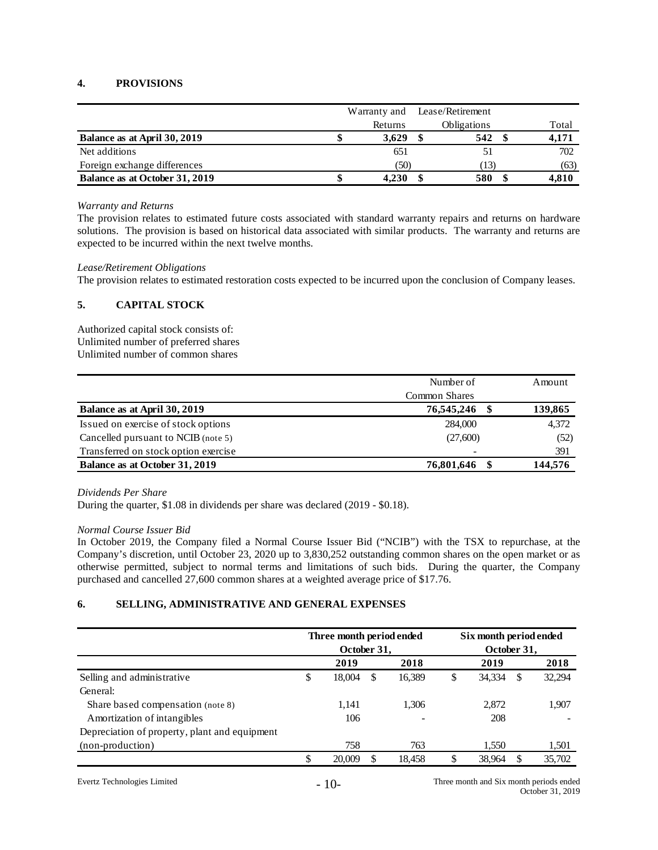## **4. PROVISIONS**

|                                | Lease/Retirement<br>Warranty and |         |  |             |       |
|--------------------------------|----------------------------------|---------|--|-------------|-------|
|                                |                                  | Returns |  | Obligations | Total |
| Balance as at April 30, 2019   |                                  | 3.629   |  | 542         | 4,171 |
| Net additions                  |                                  | 651     |  |             | 702   |
| Foreign exchange differences   |                                  | (50)    |  | (13)        | (63)  |
| Balance as at October 31, 2019 |                                  | 4.230   |  | 580         | 4,810 |

#### *Warranty and Returns*

The provision relates to estimated future costs associated with standard warranty repairs and returns on hardware solutions. The provision is based on historical data associated with similar products. The warranty and returns are expected to be incurred within the next twelve months.

#### *Lease/Retirement Obligations*

The provision relates to estimated restoration costs expected to be incurred upon the conclusion of Company leases.

# **5. CAPITAL STOCK**

Authorized capital stock consists of: Unlimited number of preferred shares Unlimited number of common shares

|                                      | Number of            | Amount  |
|--------------------------------------|----------------------|---------|
|                                      | <b>Common Shares</b> |         |
| Balance as at April 30, 2019         | 76,545,246           | 139,865 |
| Issued on exercise of stock options  | 284,000              | 4,372   |
| Cancelled pursuant to NCIB (note 5)  | (27,600)             | (52)    |
| Transferred on stock option exercise | ۰                    | 391     |
| Balance as at October 31, 2019       | 76,801,646           | 144,576 |

#### *Dividends Per Share*

During the quarter, \$1.08 in dividends per share was declared (2019 - \$0.18).

### *Normal Course Issuer Bid*

In October 2019, the Company filed a Normal Course Issuer Bid ("NCIB") with the TSX to repurchase, at the Company's discretion, until October 23, 2020 up to 3,830,252 outstanding common shares on the open market or as otherwise permitted, subject to normal terms and limitations of such bids. During the quarter, the Company purchased and cancelled 27,600 common shares at a weighted average price of \$17.76.

### **6. SELLING, ADMINISTRATIVE AND GENERAL EXPENSES**

|                                               | Three month period ended<br>October 31, |   |        | Six month period ended<br>October 31, |        |               |        |  |
|-----------------------------------------------|-----------------------------------------|---|--------|---------------------------------------|--------|---------------|--------|--|
|                                               | 2019                                    |   | 2018   |                                       | 2019   |               | 2018   |  |
| Selling and administrative                    | \$<br>18,004                            | S | 16,389 | \$                                    | 34,334 | <sup>\$</sup> | 32,294 |  |
| General:                                      |                                         |   |        |                                       |        |               |        |  |
| Share based compensation (note 8)             | 1.141                                   |   | 1,306  |                                       | 2,872  |               | 1,907  |  |
| Amortization of intangibles                   | 106                                     |   |        |                                       | 208    |               |        |  |
| Depreciation of property, plant and equipment |                                         |   |        |                                       |        |               |        |  |
| (non-production)                              | 758                                     |   | 763    |                                       | 1.550  |               | 1,501  |  |
|                                               | \$<br>20,009                            | S | 18.458 | \$                                    | 38,964 | \$.           | 35,702 |  |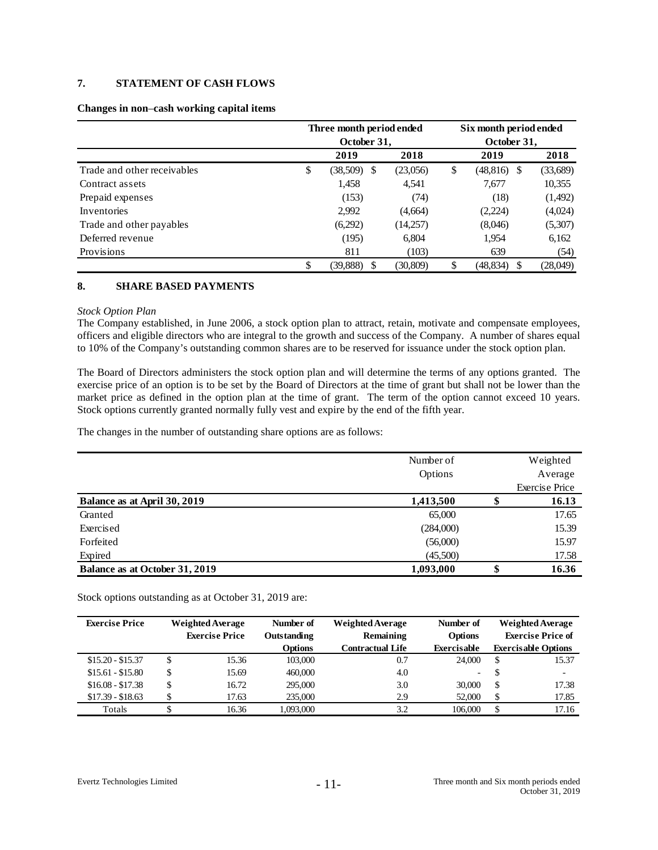## **7. STATEMENT OF CASH FLOWS**

|                             | Three month period ended<br>October 31, |           |    | Six month period ended<br>October 31, |          |
|-----------------------------|-----------------------------------------|-----------|----|---------------------------------------|----------|
|                             | 2019                                    | 2018      |    | 2019                                  | 2018     |
| Trade and other receivables | \$<br>(38,509)<br><sup>\$</sup>         | (23,056)  | \$ | $(48, 816)$ \$                        | (33,689) |
| Contract assets             | 1,458                                   | 4,541     |    | 7,677                                 | 10,355   |
| Prepaid expenses            | (153)                                   | (74)      |    | (18)                                  | (1,492)  |
| Inventories                 | 2,992                                   | (4,664)   |    | (2,224)                               | (4,024)  |
| Trade and other payables    | (6,292)                                 | (14,257)  |    | (8,046)                               | (5,307)  |
| Deferred revenue            | (195)                                   | 6,804     |    | 1,954                                 | 6,162    |
| Provisions                  | 811                                     | (103)     |    | 639                                   | (54)     |
|                             | \$<br>(39, 888)<br>S                    | (30, 809) | \$ | (48,834)<br>\$.                       | (28,049) |

#### **Changes in non**–**cash working capital items**

#### **8. SHARE BASED PAYMENTS**

#### *Stock Option Plan*

The Company established, in June 2006, a stock option plan to attract, retain, motivate and compensate employees, officers and eligible directors who are integral to the growth and success of the Company. A number of shares equal to 10% of the Company's outstanding common shares are to be reserved for issuance under the stock option plan.

The Board of Directors administers the stock option plan and will determine the terms of any options granted. The exercise price of an option is to be set by the Board of Directors at the time of grant but shall not be lower than the market price as defined in the option plan at the time of grant. The term of the option cannot exceed 10 years. Stock options currently granted normally fully vest and expire by the end of the fifth year.

The changes in the number of outstanding share options are as follows:

|                                | Number of | Weighted       |
|--------------------------------|-----------|----------------|
|                                | Options   | Average        |
|                                |           | Exercise Price |
| Balance as at April 30, 2019   | 1,413,500 | 16.13          |
| Granted                        | 65,000    | 17.65          |
| Exercised                      | (284,000) | 15.39          |
| Forfeited                      | (56,000)  | 15.97          |
| Expired                        | (45,500)  | 17.58          |
| Balance as at October 31, 2019 | 1,093,000 | \$<br>16.36    |

Stock options outstanding as at October 31, 2019 are:

| <b>Exercise Price</b> | <b>Weighted Average</b><br><b>Exercise Price</b> |       | Number of<br>Outstanding | <b>Weighted Average</b><br>Remaining | Number of<br><b>Options</b> | <b>Weighted Average</b><br><b>Exercise Price of</b> |                            |  |
|-----------------------|--------------------------------------------------|-------|--------------------------|--------------------------------------|-----------------------------|-----------------------------------------------------|----------------------------|--|
|                       |                                                  |       | <b>Options</b>           | Contractual Life                     | Exercisable                 |                                                     | <b>Exercisable Options</b> |  |
| $$15.20 - $15.37$     | \$                                               | 15.36 | 103,000                  | 0.7                                  | 24,000                      | \$                                                  | 15.37                      |  |
| $$15.61 - $15.80$     | \$                                               | 15.69 | 460,000                  | 4.0                                  | $\overline{\phantom{a}}$    | S                                                   | $\overline{\phantom{0}}$   |  |
| $$16.08 - $17.38$     | \$                                               | 16.72 | 295,000                  | 3.0                                  | 30,000                      | \$                                                  | 17.38                      |  |
| $$17.39 - $18.63$     |                                                  | 17.63 | 235,000                  | 2.9                                  | 52,000                      | \$.                                                 | 17.85                      |  |
| Totals                |                                                  | 16.36 | 1,093,000                | 3.2                                  | 106,000                     | \$                                                  | 17.16                      |  |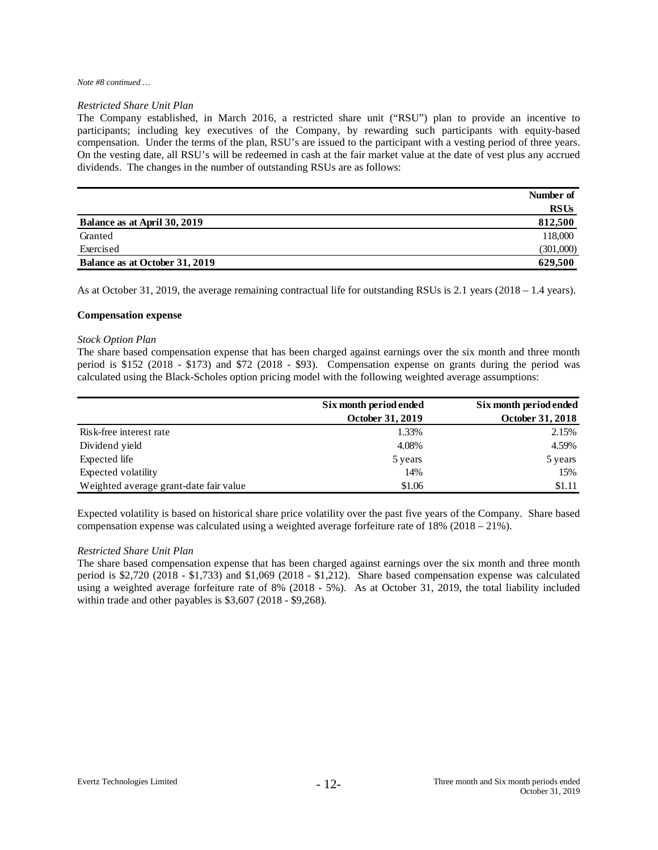#### *Note #8 continued …*

#### *Restricted Share Unit Plan*

The Company established, in March 2016, a restricted share unit ("RSU") plan to provide an incentive to participants; including key executives of the Company, by rewarding such participants with equity-based compensation. Under the terms of the plan, RSU's are issued to the participant with a vesting period of three years. On the vesting date, all RSU's will be redeemed in cash at the fair market value at the date of vest plus any accrued dividends. The changes in the number of outstanding RSUs are as follows:

|                                | Number of   |
|--------------------------------|-------------|
|                                | <b>RSUs</b> |
| Balance as at April 30, 2019   | 812,500     |
| Granted                        | 118,000     |
| Exercised                      | (301,000)   |
| Balance as at October 31, 2019 | 629,500     |

As at October 31, 2019, the average remaining contractual life for outstanding RSUs is 2.1 years (2018 – 1.4 years).

#### **Compensation expense**

#### *Stock Option Plan*

The share based compensation expense that has been charged against earnings over the six month and three month period is \$152 (2018 - \$173) and \$72 (2018 - \$93). Compensation expense on grants during the period was calculated using the Black-Scholes option pricing model with the following weighted average assumptions:

|                                        | Six month period ended | Six month period ended  |
|----------------------------------------|------------------------|-------------------------|
|                                        | October 31, 2019       | <b>October 31, 2018</b> |
| Risk-free interest rate                | 1.33%                  | 2.15%                   |
| Dividend yield                         | 4.08%                  | 4.59%                   |
| Expected life                          | 5 years                | 5 years                 |
| Expected volatility                    | 14%                    | 15%                     |
| Weighted average grant-date fair value | \$1.06                 | \$1.11                  |

Expected volatility is based on historical share price volatility over the past five years of the Company. Share based compensation expense was calculated using a weighted average forfeiture rate of 18% (2018 – 21%).

#### *Restricted Share Unit Plan*

The share based compensation expense that has been charged against earnings over the six month and three month period is \$2,720 (2018 - \$1,733) and \$1,069 (2018 - \$1,212). Share based compensation expense was calculated using a weighted average forfeiture rate of 8% (2018 - 5%). As at October 31, 2019, the total liability included within trade and other payables is \$3,607 (2018 - \$9,268).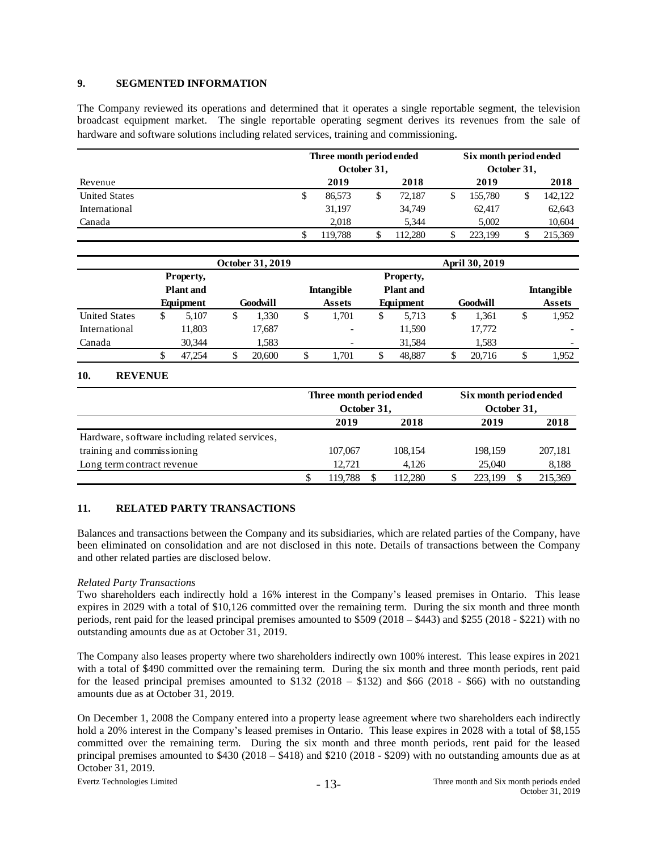#### **9. SEGMENTED INFORMATION**

The Company reviewed its operations and determined that it operates a single reportable segment, the television broadcast equipment market. The single reportable operating segment derives its revenues from the sale of hardware and software solutions including related services, training and commissioning.

|                      |   | Three month period ended<br>October 31, |   |        |   |         | Six month period ended<br>October 31, |         |  |  |
|----------------------|---|-----------------------------------------|---|--------|---|---------|---------------------------------------|---------|--|--|
| Revenue              |   | 2019<br>2018                            |   |        |   | 2019    |                                       |         |  |  |
| <b>United States</b> | J | 86.573                                  | S | 72.187 | S | 155.780 |                                       | 142,122 |  |  |
| International        |   | 31,197                                  |   | 34,749 |   | 62,417  |                                       | 62,643  |  |  |
| Canada               |   | 2.018                                   |   | 5.344  |   | 5.002   |                                       | 10,604  |  |  |
|                      |   | 119.788                                 |   | 12.280 |   | 223,199 |                                       | 215.369 |  |  |

|                      |                  |        |                       | October 31, 2019 |    |                                    | April 30, 2019 |                               |    |          |    |                                    |
|----------------------|------------------|--------|-----------------------|------------------|----|------------------------------------|----------------|-------------------------------|----|----------|----|------------------------------------|
|                      | Property,        |        |                       |                  |    |                                    |                | <b>Property,</b>              |    |          |    |                                    |
|                      | <b>Plant</b> and |        | Goodwill<br>Equipment |                  |    | <b>Intangible</b><br><b>Assets</b> |                | <b>Plant</b> and<br>Equipment |    | Goodwill |    | <b>Intangible</b><br><b>Assets</b> |
| <b>United States</b> | \$               | 5.107  |                       | 1.330            | \$ | 1.701                              | \$             | 5.713                         | \$ | 1.361    | \$ | 1,952                              |
| International        |                  | 11.803 |                       | 17,687           |    | $\overline{\phantom{a}}$           |                | 11,590                        |    | 17,772   |    |                                    |
| Canada               |                  | 30,344 |                       | 1.583            |    |                                    |                | 31,584                        |    | 1.583    |    | -                                  |
|                      | \$               | 47.254 |                       | 20,600           | D  | 1,701                              |                | 48.887                        | \$ | 20.716   |    | 1.952                              |

### **10. REVENUE**

|                                                | Three month period ended<br>October 31, |         |  |         |  | Six month period ended<br>October 31, |  |         |  |
|------------------------------------------------|-----------------------------------------|---------|--|---------|--|---------------------------------------|--|---------|--|
|                                                |                                         |         |  |         |  |                                       |  |         |  |
|                                                | 2019<br>2018                            |         |  |         |  | 2019                                  |  | 2018    |  |
| Hardware, software including related services, |                                         |         |  |         |  |                                       |  |         |  |
| training and commissioning                     |                                         | 107,067 |  | 108,154 |  | 198,159                               |  | 207,181 |  |
| Long term contract revenue                     |                                         | 12.721  |  | 4.126   |  | 25,040                                |  | 8,188   |  |
|                                                | J.                                      | 119.788 |  | 112.280 |  | 223.199                               |  | 215,369 |  |

# **11. RELATED PARTY TRANSACTIONS**

Balances and transactions between the Company and its subsidiaries, which are related parties of the Company, have been eliminated on consolidation and are not disclosed in this note. Details of transactions between the Company and other related parties are disclosed below.

### *Related Party Transactions*

Two shareholders each indirectly hold a 16% interest in the Company's leased premises in Ontario. This lease expires in 2029 with a total of \$10,126 committed over the remaining term. During the six month and three month periods, rent paid for the leased principal premises amounted to \$509 (2018 – \$443) and \$255 (2018 - \$221) with no outstanding amounts due as at October 31, 2019.

The Company also leases property where two shareholders indirectly own 100% interest. This lease expires in 2021 with a total of \$490 committed over the remaining term. During the six month and three month periods, rent paid for the leased principal premises amounted to  $$132$  (2018 –  $$132$ ) and  $$66$  (2018 -  $$66$ ) with no outstanding amounts due as at October 31, 2019.

On December 1, 2008 the Company entered into a property lease agreement where two shareholders each indirectly hold a 20% interest in the Company's leased premises in Ontario. This lease expires in 2028 with a total of \$8,155 committed over the remaining term. During the six month and three month periods, rent paid for the leased principal premises amounted to \$430 (2018 – \$418) and \$210 (2018 - \$209) with no outstanding amounts due as at October 31, 2019.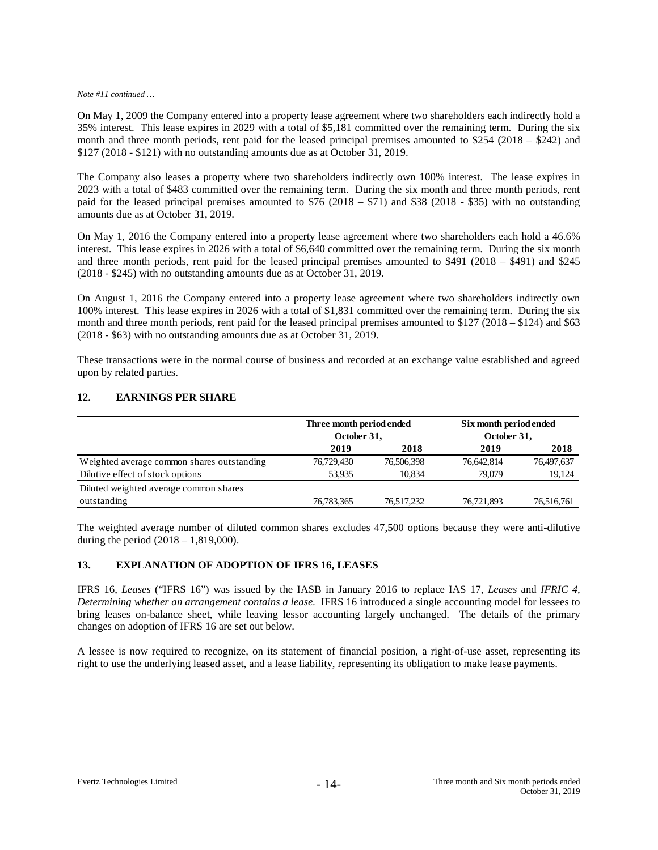#### *Note #11 continued …*

On May 1, 2009 the Company entered into a property lease agreement where two shareholders each indirectly hold a 35% interest. This lease expires in 2029 with a total of \$5,181 committed over the remaining term. During the six month and three month periods, rent paid for the leased principal premises amounted to \$254 (2018 – \$242) and \$127 (2018 - \$121) with no outstanding amounts due as at October 31, 2019.

The Company also leases a property where two shareholders indirectly own 100% interest. The lease expires in 2023 with a total of \$483 committed over the remaining term. During the six month and three month periods, rent paid for the leased principal premises amounted to \$76 (2018 – \$71) and \$38 (2018 - \$35) with no outstanding amounts due as at October 31, 2019.

On May 1, 2016 the Company entered into a property lease agreement where two shareholders each hold a 46.6% interest. This lease expires in 2026 with a total of \$6,640 committed over the remaining term. During the six month and three month periods, rent paid for the leased principal premises amounted to \$491 (2018 – \$491) and \$245 (2018 - \$245) with no outstanding amounts due as at October 31, 2019.

On August 1, 2016 the Company entered into a property lease agreement where two shareholders indirectly own 100% interest. This lease expires in 2026 with a total of \$1,831 committed over the remaining term. During the six month and three month periods, rent paid for the leased principal premises amounted to \$127 (2018 – \$124) and \$63 (2018 - \$63) with no outstanding amounts due as at October 31, 2019.

These transactions were in the normal course of business and recorded at an exchange value established and agreed upon by related parties.

#### **12. EARNINGS PER SHARE**

|                                            | Three month period ended<br>October 31, |            | Six month period ended<br>October 31, |            |
|--------------------------------------------|-----------------------------------------|------------|---------------------------------------|------------|
|                                            | 2019                                    | 2018       | 2019                                  | 2018       |
| Weighted average common shares outstanding | 76,729,430                              | 76,506,398 | 76,642,814                            | 76,497,637 |
| Dilutive effect of stock options           | 53.935                                  | 10.834     | 79,079                                | 19,124     |
| Diluted weighted average common shares     |                                         |            |                                       |            |
| outstanding                                | 76,783,365                              | 76,517,232 | 76,721,893                            | 76,516,761 |

The weighted average number of diluted common shares excludes 47,500 options because they were anti-dilutive during the period (2018 – 1,819,000).

#### **13. EXPLANATION OF ADOPTION OF IFRS 16, LEASES**

IFRS 16, *Leases* ("IFRS 16") was issued by the IASB in January 2016 to replace IAS 17, *Leases* and *IFRIC 4, Determining whether an arrangement contains a lease.* IFRS 16 introduced a single accounting model for lessees to bring leases on-balance sheet, while leaving lessor accounting largely unchanged. The details of the primary changes on adoption of IFRS 16 are set out below.

A lessee is now required to recognize, on its statement of financial position, a right-of-use asset, representing its right to use the underlying leased asset, and a lease liability, representing its obligation to make lease payments.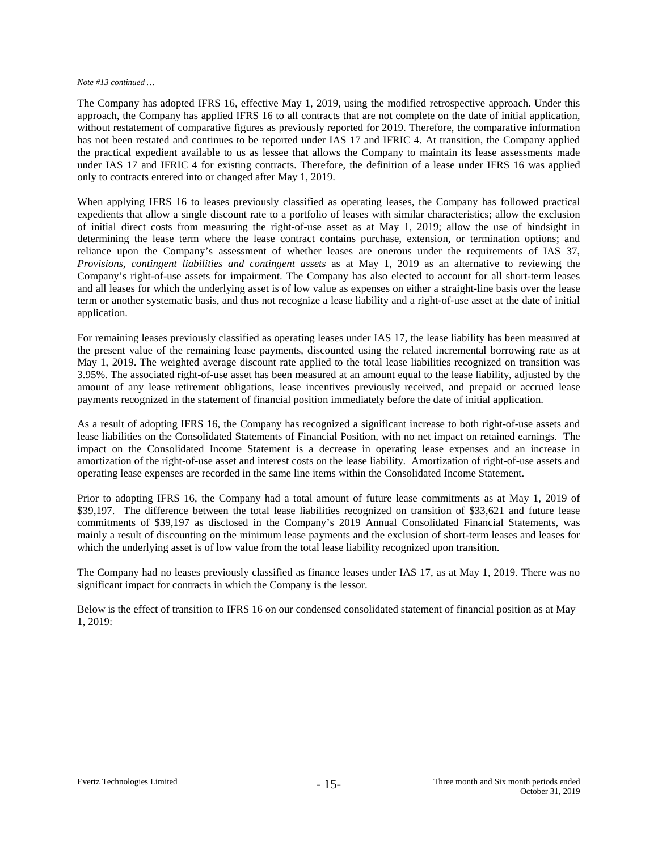#### *Note #13 continued …*

The Company has adopted IFRS 16, effective May 1, 2019, using the modified retrospective approach. Under this approach, the Company has applied IFRS 16 to all contracts that are not complete on the date of initial application, without restatement of comparative figures as previously reported for 2019. Therefore, the comparative information has not been restated and continues to be reported under IAS 17 and IFRIC 4. At transition, the Company applied the practical expedient available to us as lessee that allows the Company to maintain its lease assessments made under IAS 17 and IFRIC 4 for existing contracts. Therefore, the definition of a lease under IFRS 16 was applied only to contracts entered into or changed after May 1, 2019.

When applying IFRS 16 to leases previously classified as operating leases, the Company has followed practical expedients that allow a single discount rate to a portfolio of leases with similar characteristics; allow the exclusion of initial direct costs from measuring the right-of-use asset as at May 1, 2019; allow the use of hindsight in determining the lease term where the lease contract contains purchase, extension, or termination options; and reliance upon the Company's assessment of whether leases are onerous under the requirements of IAS 37, *Provisions, contingent liabilities and contingent assets* as at May 1, 2019 as an alternative to reviewing the Company's right-of-use assets for impairment. The Company has also elected to account for all short-term leases and all leases for which the underlying asset is of low value as expenses on either a straight-line basis over the lease term or another systematic basis, and thus not recognize a lease liability and a right-of-use asset at the date of initial application.

For remaining leases previously classified as operating leases under IAS 17, the lease liability has been measured at the present value of the remaining lease payments, discounted using the related incremental borrowing rate as at May 1, 2019. The weighted average discount rate applied to the total lease liabilities recognized on transition was 3.95%. The associated right-of-use asset has been measured at an amount equal to the lease liability, adjusted by the amount of any lease retirement obligations, lease incentives previously received, and prepaid or accrued lease payments recognized in the statement of financial position immediately before the date of initial application.

As a result of adopting IFRS 16, the Company has recognized a significant increase to both right-of-use assets and lease liabilities on the Consolidated Statements of Financial Position, with no net impact on retained earnings. The impact on the Consolidated Income Statement is a decrease in operating lease expenses and an increase in amortization of the right-of-use asset and interest costs on the lease liability. Amortization of right-of-use assets and operating lease expenses are recorded in the same line items within the Consolidated Income Statement.

Prior to adopting IFRS 16, the Company had a total amount of future lease commitments as at May 1, 2019 of \$39,197. The difference between the total lease liabilities recognized on transition of \$33,621 and future lease commitments of \$39,197 as disclosed in the Company's 2019 Annual Consolidated Financial Statements, was mainly a result of discounting on the minimum lease payments and the exclusion of short-term leases and leases for which the underlying asset is of low value from the total lease liability recognized upon transition.

The Company had no leases previously classified as finance leases under IAS 17, as at May 1, 2019. There was no significant impact for contracts in which the Company is the lessor.

Below is the effect of transition to IFRS 16 on our condensed consolidated statement of financial position as at May 1, 2019: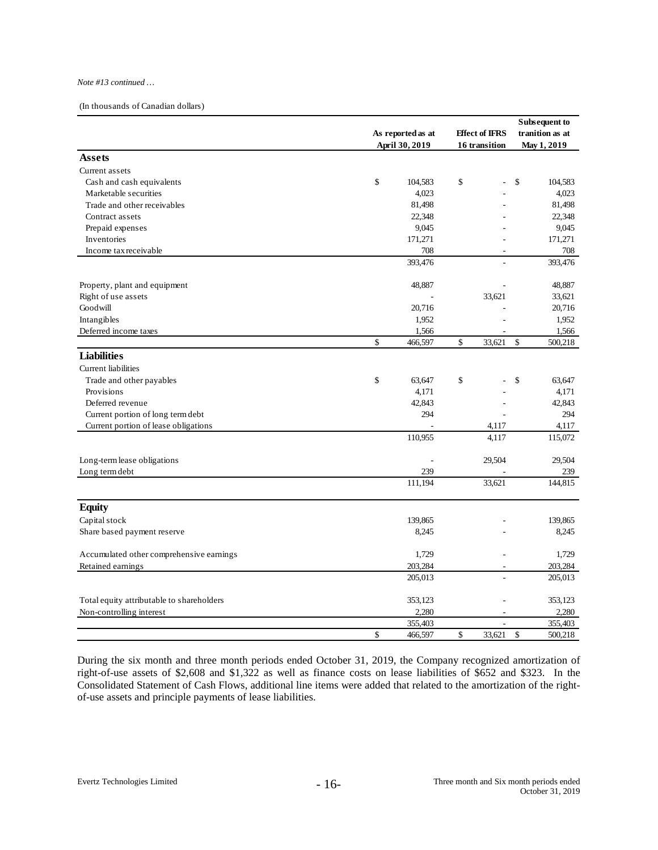#### *Note #13 continued …*

(In thousands of Canadian dollars)

|                                           | As reported as at |    | <b>Effect of IFRS</b>    |    | Subsequent to<br>tranition as at |
|-------------------------------------------|-------------------|----|--------------------------|----|----------------------------------|
|                                           | April 30, 2019    |    | 16 transition            |    | May 1, 2019                      |
| <b>Assets</b>                             |                   |    |                          |    |                                  |
| Current assets                            |                   |    |                          |    |                                  |
| Cash and cash equivalents                 | \$<br>104,583     | \$ |                          | \$ | 104,583                          |
| Marketable securities                     | 4,023             |    |                          |    | 4,023                            |
| Trade and other receivables               | 81,498            |    |                          |    | 81,498                           |
| Contract assets                           | 22,348            |    |                          |    | 22,348                           |
| Prepaid expenses                          | 9,045             |    |                          |    | 9,045                            |
| Inventories                               | 171,271           |    |                          |    | 171,271                          |
| Income tax receivable                     | 708               |    | $\overline{\phantom{a}}$ |    | 708                              |
|                                           | 393,476           |    |                          |    | 393,476                          |
| Property, plant and equipment             | 48,887            |    |                          |    | 48.887                           |
| Right of use assets                       |                   |    | 33,621                   |    | 33,621                           |
| Goodwill                                  | 20,716            |    |                          |    | 20,716                           |
| Intangibles                               | 1,952             |    |                          |    | 1,952                            |
| Deferred income taxes                     | 1,566             |    |                          |    | 1,566                            |
|                                           | \$<br>466,597     | \$ | 33,621                   | \$ | 500,218                          |
| <b>Liabilities</b>                        |                   |    |                          |    |                                  |
| Current liabilities                       |                   |    |                          |    |                                  |
| Trade and other payables                  | \$<br>63,647      | \$ |                          | \$ | 63,647                           |
| Provisions                                | 4,171             |    |                          |    | 4,171                            |
| Deferred revenue                          | 42,843            |    |                          |    | 42,843                           |
| Current portion of long term debt         | 294               |    |                          |    | 294                              |
| Current portion of lease obligations      |                   |    | 4,117                    |    | 4,117                            |
|                                           | 110,955           |    | 4,117                    |    | 115,072                          |
| Long-term lease obligations               |                   |    | 29,504                   |    | 29,504                           |
| Long term debt                            | 239               |    |                          |    | 239                              |
|                                           | 111,194           |    | 33,621                   |    | 144,815                          |
| <b>Equity</b>                             |                   |    |                          |    |                                  |
| Capital stock                             | 139,865           |    |                          |    | 139,865                          |
| Share based payment reserve               | 8,245             |    |                          |    | 8,245                            |
|                                           |                   |    |                          |    |                                  |
| Accumulated other comprehensive earnings  | 1,729             |    | ÷                        |    | 1,729                            |
| Retained earnings                         | 203,284           |    | ÷,                       |    | 203,284                          |
|                                           | 205,013           |    |                          |    | 205,013                          |
| Total equity attributable to shareholders | 353,123           |    | ä,                       |    | 353,123                          |
| Non-controlling interest                  | 2,280             |    |                          |    | 2,280                            |
|                                           | 355,403           |    | $\overline{\phantom{a}}$ |    | 355,403                          |
|                                           | \$<br>466,597     | \$ | 33,621                   | \$ | 500,218                          |

During the six month and three month periods ended October 31, 2019, the Company recognized amortization of right-of-use assets of \$2,608 and \$1,322 as well as finance costs on lease liabilities of \$652 and \$323. In the Consolidated Statement of Cash Flows, additional line items were added that related to the amortization of the rightof-use assets and principle payments of lease liabilities.